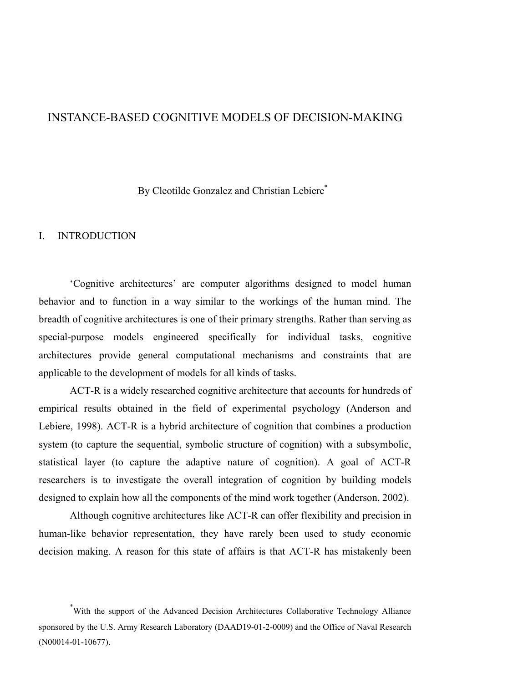### INSTANCE-BASED COGNITIVE MODELS OF DECISION-MAKING

By Cleotilde Gonzalez and Christian Lebiere<sup>\*</sup>

#### I. INTRODUCTION

'Cognitive architectures' are computer algorithms designed to model human behavior and to function in a way similar to the workings of the human mind. The breadth of cognitive architectures is one of their primary strengths. Rather than serving as special-purpose models engineered specifically for individual tasks, cognitive architectures provide general computational mechanisms and constraints that are applicable to the development of models for all kinds of tasks.

ACT-R is a widely researched cognitive architecture that accounts for hundreds of empirical results obtained in the field of experimental psychology (Anderson and Lebiere, 1998). ACT-R is a hybrid architecture of cognition that combines a production system (to capture the sequential, symbolic structure of cognition) with a subsymbolic, statistical layer (to capture the adaptive nature of cognition). A goal of ACT-R researchers is to investigate the overall integration of cognition by building models designed to explain how all the components of the mind work together (Anderson, 2002).

Although cognitive architectures like ACT-R can offer flexibility and precision in human-like behavior representation, they have rarely been used to study economic decision making. A reason for this state of affairs is that ACT-R has mistakenly been

<sup>\*</sup> With the support of the Advanced Decision Architectures Collaborative Technology Alliance sponsored by the U.S. Army Research Laboratory (DAAD19-01-2-0009) and the Office of Naval Research (N00014-01-10677).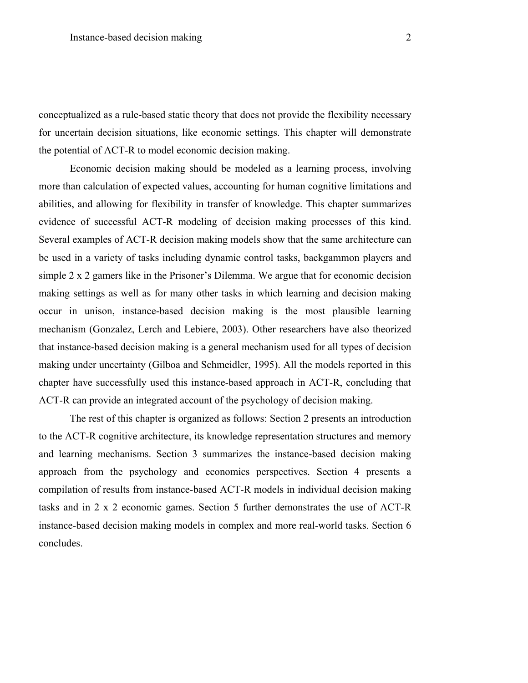conceptualized as a rule-based static theory that does not provide the flexibility necessary for uncertain decision situations, like economic settings. This chapter will demonstrate the potential of ACT-R to model economic decision making.

Economic decision making should be modeled as a learning process, involving more than calculation of expected values, accounting for human cognitive limitations and abilities, and allowing for flexibility in transfer of knowledge. This chapter summarizes evidence of successful ACT-R modeling of decision making processes of this kind. Several examples of ACT-R decision making models show that the same architecture can be used in a variety of tasks including dynamic control tasks, backgammon players and simple 2 x 2 gamers like in the Prisoner's Dilemma. We argue that for economic decision making settings as well as for many other tasks in which learning and decision making occur in unison, instance-based decision making is the most plausible learning mechanism (Gonzalez, Lerch and Lebiere, 2003). Other researchers have also theorized that instance-based decision making is a general mechanism used for all types of decision making under uncertainty (Gilboa and Schmeidler, 1995). All the models reported in this chapter have successfully used this instance-based approach in ACT-R, concluding that ACT-R can provide an integrated account of the psychology of decision making.

The rest of this chapter is organized as follows: Section 2 presents an introduction to the ACT-R cognitive architecture, its knowledge representation structures and memory and learning mechanisms. Section 3 summarizes the instance-based decision making approach from the psychology and economics perspectives. Section 4 presents a compilation of results from instance-based ACT-R models in individual decision making tasks and in 2 x 2 economic games. Section 5 further demonstrates the use of ACT-R instance-based decision making models in complex and more real-world tasks. Section 6 concludes.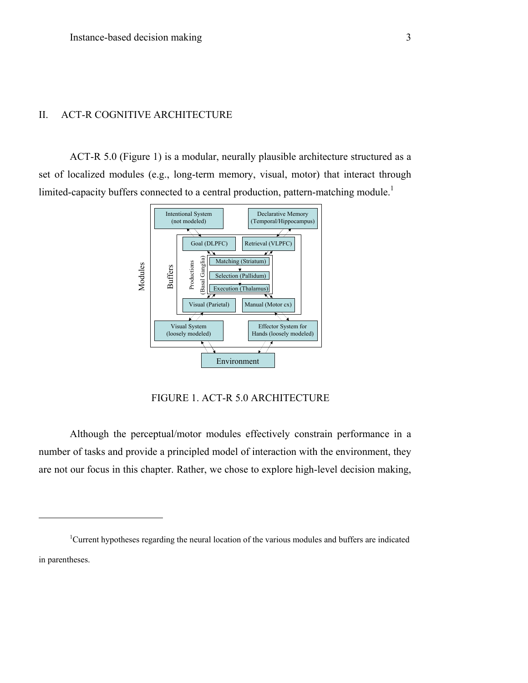### II. ACT-R COGNITIVE ARCHITECTURE

 $\overline{a}$ 

ACT-R 5.0 (Figure 1) is a modular, neurally plausible architecture structured as a set of localized modules (e.g., long-term memory, visual, motor) that interact through limited-capacity buffers connected to a central production, pattern-matching module.<sup>1</sup>



FIGURE 1. ACT-R 5.0 ARCHITECTURE

Although the perceptual/motor modules effectively constrain performance in a number of tasks and provide a principled model of interaction with the environment, they are not our focus in this chapter. Rather, we chose to explore high-level decision making,

<sup>1</sup>Current hypotheses regarding the neural location of the various modules and buffers are indicated in parentheses.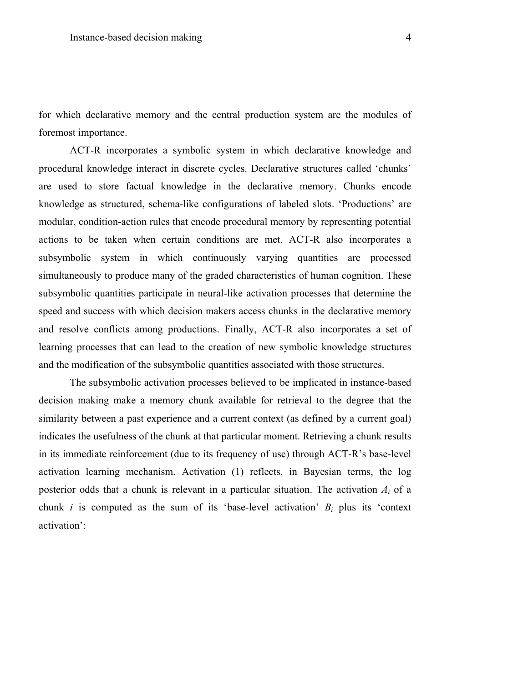for which declarative memory and the central production system are the modules of foremost importance.

ACT-R incorporates a symbolic system in which declarative knowledge and procedural knowledge interact in discrete cycles. Declarative structures called 'chunks' are used to store factual knowledge in the declarative memory. Chunks encode knowledge as structured, schema-like configurations of labeled slots. 'Productions' are modular, condition-action rules that encode procedural memory by representing potential actions to be taken when certain conditions are met. ACT-R also incorporates a subsymbolic system in which continuously varying quantities are processed simultaneously to produce many of the graded characteristics of human cognition. These subsymbolic quantities participate in neural-like activation processes that determine the speed and success with which decision makers access chunks in the declarative memory and resolve conflicts among productions. Finally, ACT-R also incorporates a set of learning processes that can lead to the creation of new symbolic knowledge structures and the modification of the subsymbolic quantities associated with those structures.

The subsymbolic activation processes believed to be implicated in instance-based decision making make a memory chunk available for retrieval to the degree that the similarity between a past experience and a current context (as defined by a current goal) indicates the usefulness of the chunk at that particular moment. Retrieving a chunk results in its immediate reinforcement (due to its frequency of use) through ACT-R's base-level activation learning mechanism. Activation (1) reflects, in Bayesian terms, the log posterior odds that a chunk is relevant in a particular situation. The activation *Ai* of a chunk *i* is computed as the sum of its 'base-level activation'  $B_i$  plus its 'context activation':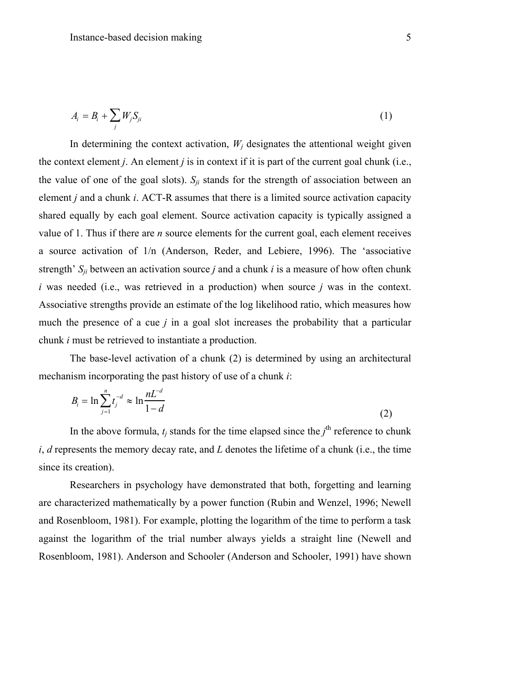$$
A_i = B_i + \sum_j W_j S_{ji} \tag{1}
$$

In determining the context activation,  $W_i$  designates the attentional weight given the context element *j*. An element *j* is in context if it is part of the current goal chunk (i.e., the value of one of the goal slots).  $S_{ji}$  stands for the strength of association between an element *j* and a chunk *i*. ACT-R assumes that there is a limited source activation capacity shared equally by each goal element. Source activation capacity is typically assigned a value of 1. Thus if there are *n* source elements for the current goal, each element receives a source activation of 1/n (Anderson, Reder, and Lebiere, 1996). The 'associative strength' *Sji* between an activation source *j* and a chunk *i* is a measure of how often chunk *i* was needed (i.e., was retrieved in a production) when source *j* was in the context. Associative strengths provide an estimate of the log likelihood ratio, which measures how much the presence of a cue *j* in a goal slot increases the probability that a particular chunk *i* must be retrieved to instantiate a production.

The base-level activation of a chunk (2) is determined by using an architectural mechanism incorporating the past history of use of a chunk *i*:

$$
B_{i} = \ln \sum_{j=1}^{n} t_{j}^{-d} \approx \ln \frac{nL^{-d}}{1-d}
$$
 (2)

In the above formula,  $t_j$  stands for the time elapsed since the  $j^{\text{th}}$  reference to chunk *i*, *d* represents the memory decay rate, and *L* denotes the lifetime of a chunk (i.e., the time since its creation).

Researchers in psychology have demonstrated that both, forgetting and learning are characterized mathematically by a power function (Rubin and Wenzel, 1996; Newell and Rosenbloom, 1981). For example, plotting the logarithm of the time to perform a task against the logarithm of the trial number always yields a straight line (Newell and Rosenbloom, 1981). Anderson and Schooler (Anderson and Schooler, 1991) have shown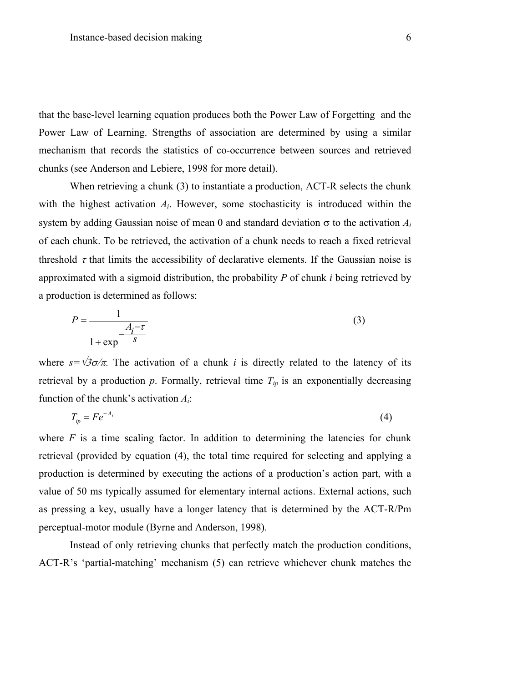that the base-level learning equation produces both the Power Law of Forgetting and the Power Law of Learning. Strengths of association are determined by using a similar mechanism that records the statistics of co-occurrence between sources and retrieved chunks (see Anderson and Lebiere, 1998 for more detail).

When retrieving a chunk (3) to instantiate a production, ACT-R selects the chunk with the highest activation *Ai*. However, some stochasticity is introduced within the system by adding Gaussian noise of mean 0 and standard deviation  $\sigma$  to the activation  $A_i$ of each chunk. To be retrieved, the activation of a chunk needs to reach a fixed retrieval threshold  $\tau$  that limits the accessibility of declarative elements. If the Gaussian noise is approximated with a sigmoid distribution, the probability *P* of chunk *i* being retrieved by a production is determined as follows:

$$
P = \frac{1}{\frac{A_i - \tau}{1 + \exp^{-\frac{1}{S}}}}
$$
(3)

where  $s=\sqrt{3}\sigma/\pi$ . The activation of a chunk *i* is directly related to the latency of its retrieval by a production  $p$ . Formally, retrieval time  $T_{ip}$  is an exponentially decreasing function of the chunk's activation *Ai*:

$$
T_{ip} = Fe^{-A_i} \tag{4}
$$

where  $F$  is a time scaling factor. In addition to determining the latencies for chunk retrieval (provided by equation (4), the total time required for selecting and applying a production is determined by executing the actions of a production's action part, with a value of 50 ms typically assumed for elementary internal actions. External actions, such as pressing a key, usually have a longer latency that is determined by the ACT-R/Pm perceptual-motor module (Byrne and Anderson, 1998).

Instead of only retrieving chunks that perfectly match the production conditions, ACT-R's 'partial-matching' mechanism (5) can retrieve whichever chunk matches the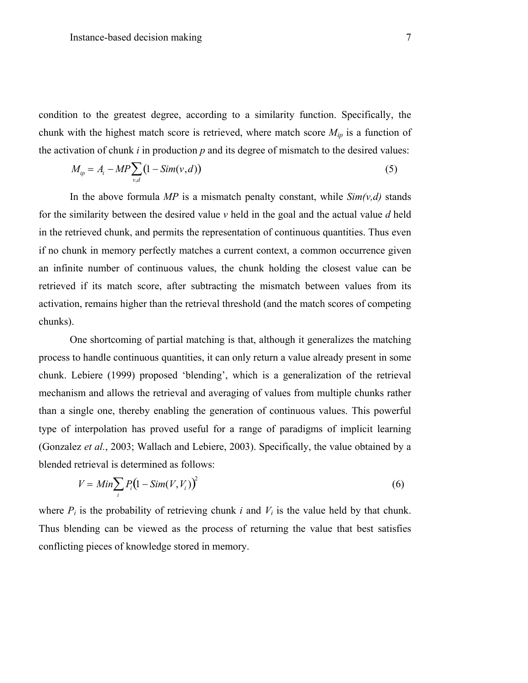condition to the greatest degree, according to a similarity function. Specifically, the chunk with the highest match score is retrieved, where match score  $M_{ip}$  is a function of the activation of chunk *i* in production *p* and its degree of mismatch to the desired values:

$$
M_{ip} = A_i - MP \sum_{v,d} (1 - Sim(v,d)) \tag{5}
$$

In the above formula  $MP$  is a mismatch penalty constant, while  $Sim(v,d)$  stands for the similarity between the desired value *v* held in the goal and the actual value *d* held in the retrieved chunk, and permits the representation of continuous quantities. Thus even if no chunk in memory perfectly matches a current context, a common occurrence given an infinite number of continuous values, the chunk holding the closest value can be retrieved if its match score, after subtracting the mismatch between values from its activation, remains higher than the retrieval threshold (and the match scores of competing chunks).

One shortcoming of partial matching is that, although it generalizes the matching process to handle continuous quantities, it can only return a value already present in some chunk. Lebiere (1999) proposed 'blending', which is a generalization of the retrieval mechanism and allows the retrieval and averaging of values from multiple chunks rather than a single one, thereby enabling the generation of continuous values. This powerful type of interpolation has proved useful for a range of paradigms of implicit learning (Gonzalez *et al.*, 2003; Wallach and Lebiere, 2003). Specifically, the value obtained by a blended retrieval is determined as follows:

$$
V = Min \sum_{i} P_i (1 - Sim(V, V_i))^2
$$
\n(6)

where  $P_i$  is the probability of retrieving chunk  $i$  and  $V_i$  is the value held by that chunk. Thus blending can be viewed as the process of returning the value that best satisfies conflicting pieces of knowledge stored in memory.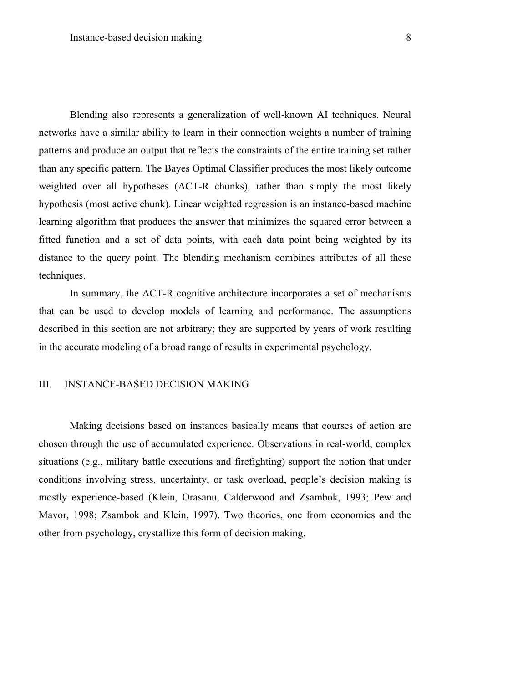Blending also represents a generalization of well-known AI techniques. Neural networks have a similar ability to learn in their connection weights a number of training patterns and produce an output that reflects the constraints of the entire training set rather than any specific pattern. The Bayes Optimal Classifier produces the most likely outcome weighted over all hypotheses (ACT-R chunks), rather than simply the most likely hypothesis (most active chunk). Linear weighted regression is an instance-based machine learning algorithm that produces the answer that minimizes the squared error between a fitted function and a set of data points, with each data point being weighted by its distance to the query point. The blending mechanism combines attributes of all these techniques.

In summary, the ACT-R cognitive architecture incorporates a set of mechanisms that can be used to develop models of learning and performance. The assumptions described in this section are not arbitrary; they are supported by years of work resulting in the accurate modeling of a broad range of results in experimental psychology.

### III. INSTANCE-BASED DECISION MAKING

Making decisions based on instances basically means that courses of action are chosen through the use of accumulated experience. Observations in real-world, complex situations (e.g., military battle executions and firefighting) support the notion that under conditions involving stress, uncertainty, or task overload, people's decision making is mostly experience-based (Klein, Orasanu, Calderwood and Zsambok, 1993; Pew and Mavor, 1998; Zsambok and Klein, 1997). Two theories, one from economics and the other from psychology, crystallize this form of decision making.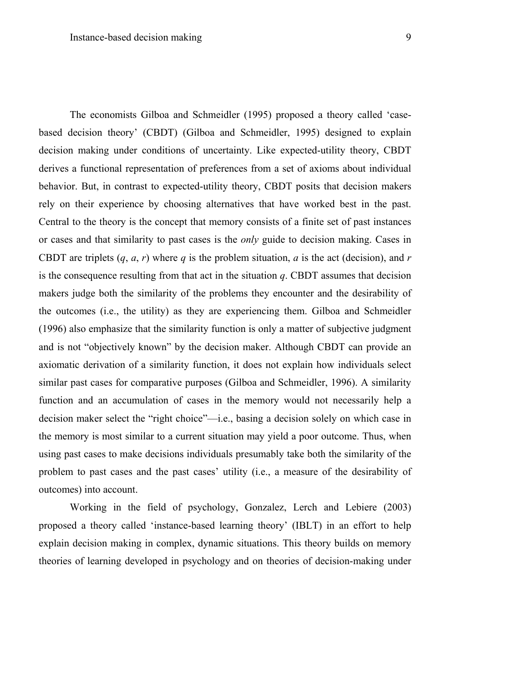outcomes) into account.

The economists Gilboa and Schmeidler (1995) proposed a theory called 'casebased decision theory' (CBDT) (Gilboa and Schmeidler, 1995) designed to explain decision making under conditions of uncertainty. Like expected-utility theory, CBDT derives a functional representation of preferences from a set of axioms about individual behavior. But, in contrast to expected-utility theory, CBDT posits that decision makers rely on their experience by choosing alternatives that have worked best in the past. Central to the theory is the concept that memory consists of a finite set of past instances or cases and that similarity to past cases is the *only* guide to decision making. Cases in CBDT are triplets  $(a, a, r)$  where *q* is the problem situation, *q* is the act (decision), and *r* is the consequence resulting from that act in the situation *q*. CBDT assumes that decision makers judge both the similarity of the problems they encounter and the desirability of the outcomes (i.e., the utility) as they are experiencing them. Gilboa and Schmeidler (1996) also emphasize that the similarity function is only a matter of subjective judgment and is not "objectively known" by the decision maker. Although CBDT can provide an axiomatic derivation of a similarity function, it does not explain how individuals select similar past cases for comparative purposes (Gilboa and Schmeidler, 1996). A similarity function and an accumulation of cases in the memory would not necessarily help a decision maker select the "right choice"—i.e., basing a decision solely on which case in the memory is most similar to a current situation may yield a poor outcome. Thus, when using past cases to make decisions individuals presumably take both the similarity of the problem to past cases and the past cases' utility (i.e., a measure of the desirability of

Working in the field of psychology, Gonzalez, Lerch and Lebiere (2003) proposed a theory called 'instance-based learning theory' (IBLT) in an effort to help explain decision making in complex, dynamic situations. This theory builds on memory theories of learning developed in psychology and on theories of decision-making under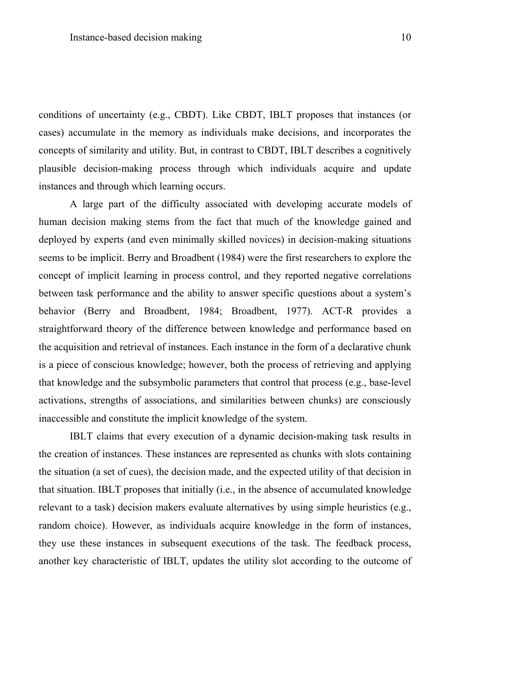conditions of uncertainty (e.g., CBDT). Like CBDT, IBLT proposes that instances (or cases) accumulate in the memory as individuals make decisions, and incorporates the concepts of similarity and utility. But, in contrast to CBDT, IBLT describes a cognitively plausible decision-making process through which individuals acquire and update instances and through which learning occurs.

A large part of the difficulty associated with developing accurate models of human decision making stems from the fact that much of the knowledge gained and deployed by experts (and even minimally skilled novices) in decision-making situations seems to be implicit. Berry and Broadbent (1984) were the first researchers to explore the concept of implicit learning in process control, and they reported negative correlations between task performance and the ability to answer specific questions about a system's behavior (Berry and Broadbent, 1984; Broadbent, 1977). ACT-R provides a straightforward theory of the difference between knowledge and performance based on the acquisition and retrieval of instances. Each instance in the form of a declarative chunk is a piece of conscious knowledge; however, both the process of retrieving and applying that knowledge and the subsymbolic parameters that control that process (e.g., base-level activations, strengths of associations, and similarities between chunks) are consciously inaccessible and constitute the implicit knowledge of the system.

IBLT claims that every execution of a dynamic decision-making task results in the creation of instances. These instances are represented as chunks with slots containing the situation (a set of cues), the decision made, and the expected utility of that decision in that situation. IBLT proposes that initially (i.e., in the absence of accumulated knowledge relevant to a task) decision makers evaluate alternatives by using simple heuristics (e.g., random choice). However, as individuals acquire knowledge in the form of instances, they use these instances in subsequent executions of the task. The feedback process, another key characteristic of IBLT, updates the utility slot according to the outcome of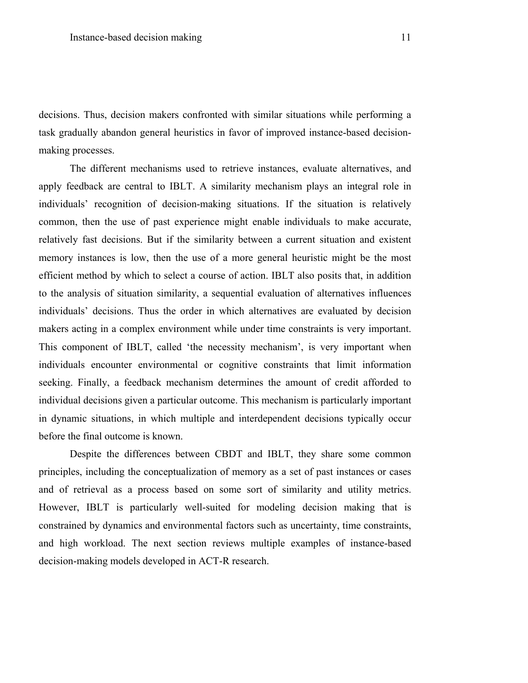decisions. Thus, decision makers confronted with similar situations while performing a task gradually abandon general heuristics in favor of improved instance-based decisionmaking processes.

The different mechanisms used to retrieve instances, evaluate alternatives, and apply feedback are central to IBLT. A similarity mechanism plays an integral role in individuals' recognition of decision-making situations. If the situation is relatively common, then the use of past experience might enable individuals to make accurate, relatively fast decisions. But if the similarity between a current situation and existent memory instances is low, then the use of a more general heuristic might be the most efficient method by which to select a course of action. IBLT also posits that, in addition to the analysis of situation similarity, a sequential evaluation of alternatives influences individuals' decisions. Thus the order in which alternatives are evaluated by decision makers acting in a complex environment while under time constraints is very important. This component of IBLT, called 'the necessity mechanism', is very important when individuals encounter environmental or cognitive constraints that limit information seeking. Finally, a feedback mechanism determines the amount of credit afforded to individual decisions given a particular outcome. This mechanism is particularly important in dynamic situations, in which multiple and interdependent decisions typically occur before the final outcome is known.

Despite the differences between CBDT and IBLT, they share some common principles, including the conceptualization of memory as a set of past instances or cases and of retrieval as a process based on some sort of similarity and utility metrics. However, IBLT is particularly well-suited for modeling decision making that is constrained by dynamics and environmental factors such as uncertainty, time constraints, and high workload. The next section reviews multiple examples of instance-based decision-making models developed in ACT-R research.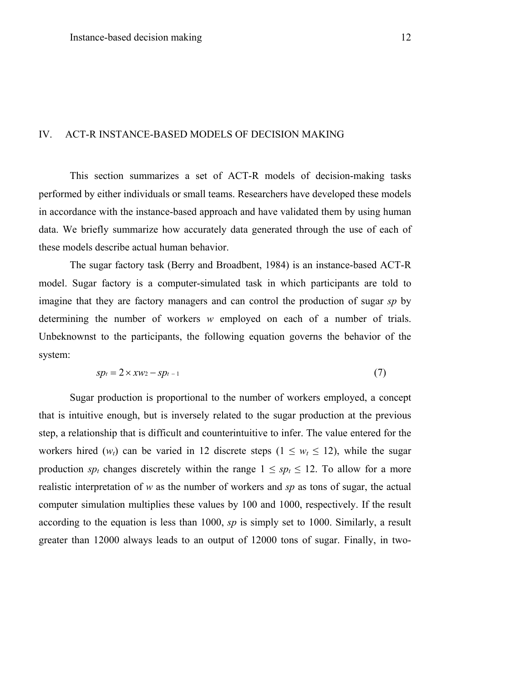#### IV. ACT-R INSTANCE-BASED MODELS OF DECISION MAKING

This section summarizes a set of ACT-R models of decision-making tasks performed by either individuals or small teams. Researchers have developed these models in accordance with the instance-based approach and have validated them by using human data. We briefly summarize how accurately data generated through the use of each of these models describe actual human behavior.

The sugar factory task (Berry and Broadbent, 1984) is an instance-based ACT-R model. Sugar factory is a computer-simulated task in which participants are told to imagine that they are factory managers and can control the production of sugar *sp* by determining the number of workers *w* employed on each of a number of trials. Unbeknownst to the participants, the following equation governs the behavior of the system:

$$
sp_t = 2 \times xw_2 - sp_{t-1} \tag{7}
$$

Sugar production is proportional to the number of workers employed, a concept that is intuitive enough, but is inversely related to the sugar production at the previous step, a relationship that is difficult and counterintuitive to infer. The value entered for the workers hired  $(w_t)$  can be varied in 12 discrete steps  $(1 \leq w_t \leq 12)$ , while the sugar production *sp<sub>t</sub>* changes discretely within the range  $1 \le sp_t \le 12$ . To allow for a more realistic interpretation of *w* as the number of workers and *sp* as tons of sugar, the actual computer simulation multiplies these values by 100 and 1000, respectively. If the result according to the equation is less than 1000, *sp* is simply set to 1000. Similarly, a result greater than 12000 always leads to an output of 12000 tons of sugar. Finally, in two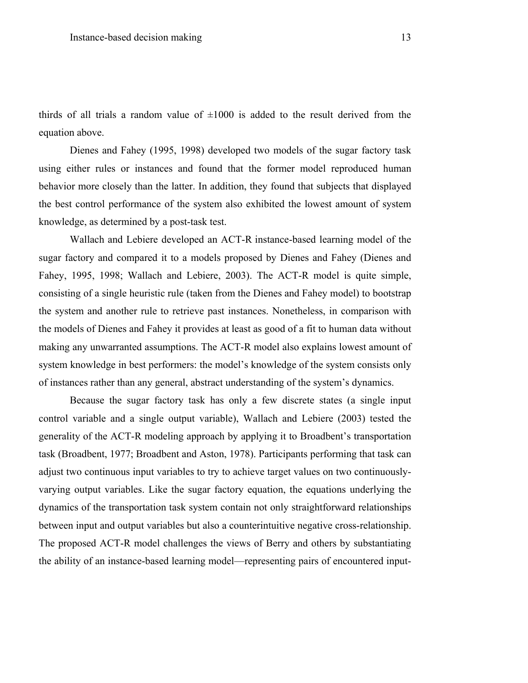thirds of all trials a random value of  $\pm 1000$  is added to the result derived from the equation above.

Dienes and Fahey (1995, 1998) developed two models of the sugar factory task using either rules or instances and found that the former model reproduced human behavior more closely than the latter. In addition, they found that subjects that displayed the best control performance of the system also exhibited the lowest amount of system knowledge, as determined by a post-task test.

Wallach and Lebiere developed an ACT-R instance-based learning model of the sugar factory and compared it to a models proposed by Dienes and Fahey (Dienes and Fahey, 1995, 1998; Wallach and Lebiere, 2003). The ACT-R model is quite simple, consisting of a single heuristic rule (taken from the Dienes and Fahey model) to bootstrap the system and another rule to retrieve past instances. Nonetheless, in comparison with the models of Dienes and Fahey it provides at least as good of a fit to human data without making any unwarranted assumptions. The ACT-R model also explains lowest amount of system knowledge in best performers: the model's knowledge of the system consists only of instances rather than any general, abstract understanding of the system's dynamics.

Because the sugar factory task has only a few discrete states (a single input control variable and a single output variable), Wallach and Lebiere (2003) tested the generality of the ACT-R modeling approach by applying it to Broadbent's transportation task (Broadbent, 1977; Broadbent and Aston, 1978). Participants performing that task can adjust two continuous input variables to try to achieve target values on two continuouslyvarying output variables. Like the sugar factory equation, the equations underlying the dynamics of the transportation task system contain not only straightforward relationships between input and output variables but also a counterintuitive negative cross-relationship. The proposed ACT-R model challenges the views of Berry and others by substantiating the ability of an instance-based learning model—representing pairs of encountered input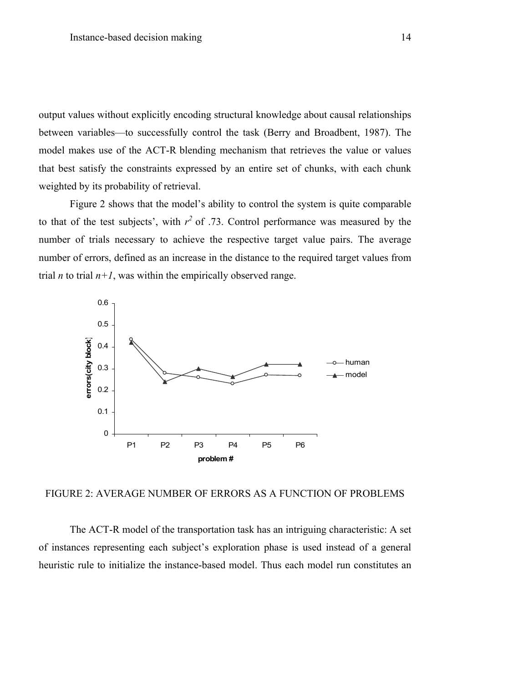output values without explicitly encoding structural knowledge about causal relationships between variables—to successfully control the task (Berry and Broadbent, 1987). The model makes use of the ACT-R blending mechanism that retrieves the value or values that best satisfy the constraints expressed by an entire set of chunks, with each chunk weighted by its probability of retrieval.

Figure 2 shows that the model's ability to control the system is quite comparable to that of the test subjects', with  $r^2$  of .73. Control performance was measured by the number of trials necessary to achieve the respective target value pairs. The average number of errors, defined as an increase in the distance to the required target values from trial *n* to trial  $n+1$ , was within the empirically observed range.



FIGURE 2: AVERAGE NUMBER OF ERRORS AS A FUNCTION OF PROBLEMS

The ACT-R model of the transportation task has an intriguing characteristic: A set of instances representing each subject's exploration phase is used instead of a general heuristic rule to initialize the instance-based model. Thus each model run constitutes an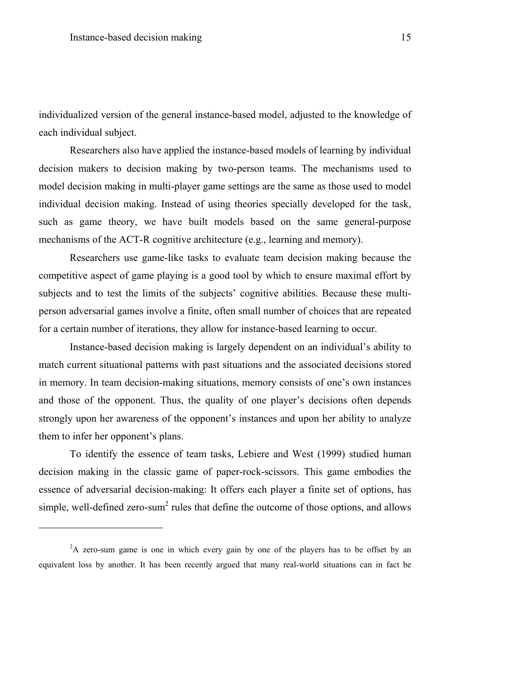individualized version of the general instance-based model, adjusted to the knowledge of each individual subject.

Researchers also have applied the instance-based models of learning by individual decision makers to decision making by two-person teams. The mechanisms used to model decision making in multi-player game settings are the same as those used to model individual decision making. Instead of using theories specially developed for the task, such as game theory, we have built models based on the same general-purpose mechanisms of the ACT-R cognitive architecture (e.g., learning and memory).

Researchers use game-like tasks to evaluate team decision making because the competitive aspect of game playing is a good tool by which to ensure maximal effort by subjects and to test the limits of the subjects' cognitive abilities. Because these multiperson adversarial games involve a finite, often small number of choices that are repeated for a certain number of iterations, they allow for instance-based learning to occur.

Instance-based decision making is largely dependent on an individual's ability to match current situational patterns with past situations and the associated decisions stored in memory. In team decision-making situations, memory consists of one's own instances and those of the opponent. Thus, the quality of one player's decisions often depends strongly upon her awareness of the opponent's instances and upon her ability to analyze them to infer her opponent's plans.

To identify the essence of team tasks, Lebiere and West (1999) studied human decision making in the classic game of paper-rock-scissors. This game embodies the essence of adversarial decision-making: It offers each player a finite set of options, has simple, well-defined zero-sum<sup>2</sup> rules that define the outcome of those options, and allows

<u>.</u>

 $2A$  zero-sum game is one in which every gain by one of the players has to be offset by an equivalent loss by another. It has been recently argued that many real-world situations can in fact be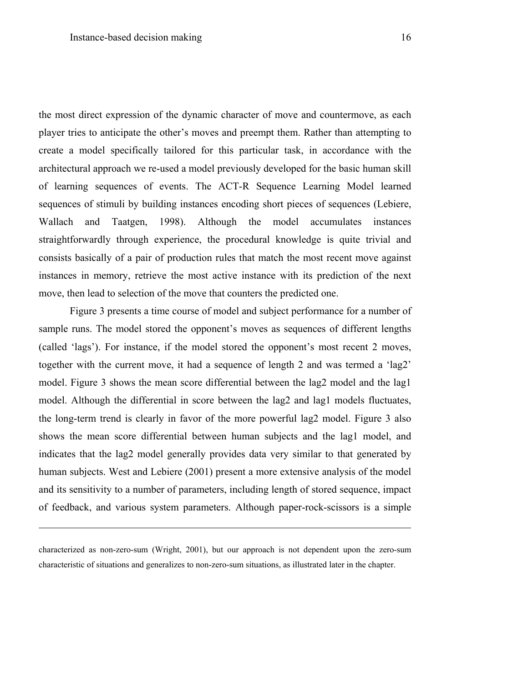the most direct expression of the dynamic character of move and countermove, as each player tries to anticipate the other's moves and preempt them. Rather than attempting to create a model specifically tailored for this particular task, in accordance with the architectural approach we re-used a model previously developed for the basic human skill of learning sequences of events. The ACT-R Sequence Learning Model learned sequences of stimuli by building instances encoding short pieces of sequences (Lebiere, Wallach and Taatgen, 1998). Although the model accumulates instances straightforwardly through experience, the procedural knowledge is quite trivial and consists basically of a pair of production rules that match the most recent move against instances in memory, retrieve the most active instance with its prediction of the next move, then lead to selection of the move that counters the predicted one.

Figure 3 presents a time course of model and subject performance for a number of sample runs. The model stored the opponent's moves as sequences of different lengths (called 'lags'). For instance, if the model stored the opponent's most recent 2 moves, together with the current move, it had a sequence of length 2 and was termed a 'lag2' model. Figure 3 shows the mean score differential between the lag2 model and the lag1 model. Although the differential in score between the lag2 and lag1 models fluctuates, the long-term trend is clearly in favor of the more powerful lag2 model. Figure 3 also shows the mean score differential between human subjects and the lag1 model, and indicates that the lag2 model generally provides data very similar to that generated by human subjects. West and Lebiere (2001) present a more extensive analysis of the model and its sensitivity to a number of parameters, including length of stored sequence, impact of feedback, and various system parameters. Although paper-rock-scissors is a simple

<u>.</u>

characterized as non-zero-sum (Wright, 2001), but our approach is not dependent upon the zero-sum characteristic of situations and generalizes to non-zero-sum situations, as illustrated later in the chapter.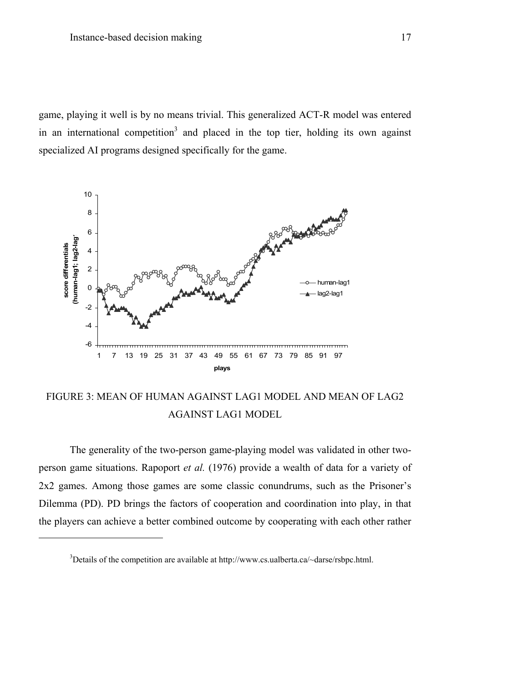game, playing it well is by no means trivial. This generalized ACT-R model was entered in an international competition<sup>3</sup> and placed in the top tier, holding its own against specialized AI programs designed specifically for the game.



FIGURE 3: MEAN OF HUMAN AGAINST LAG1 MODEL AND MEAN OF LAG2 AGAINST LAG1 MODEL

The generality of the two-person game-playing model was validated in other twoperson game situations. Rapoport *et al.* (1976) provide a wealth of data for a variety of 2x2 games. Among those games are some classic conundrums, such as the Prisoner's Dilemma (PD). PD brings the factors of cooperation and coordination into play, in that the players can achieve a better combined outcome by cooperating with each other rather

1

<sup>&</sup>lt;sup>3</sup>Details of the competition are available at http://www.cs.ualberta.ca/~darse/rsbpc.html.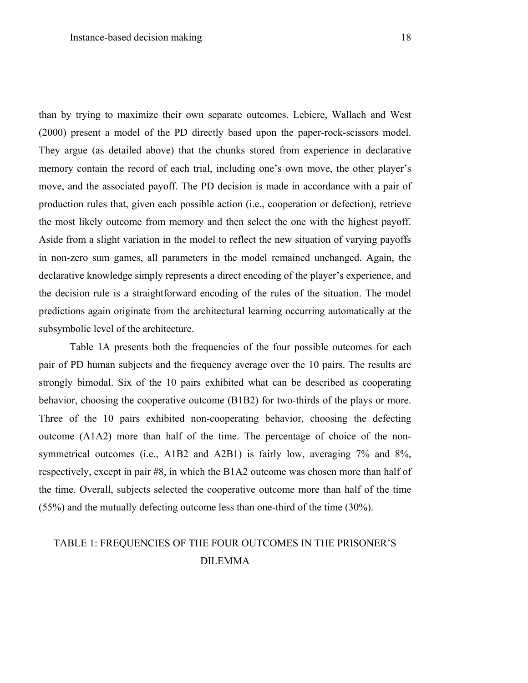than by trying to maximize their own separate outcomes. Lebiere, Wallach and West (2000) present a model of the PD directly based upon the paper-rock-scissors model. They argue (as detailed above) that the chunks stored from experience in declarative memory contain the record of each trial, including one's own move, the other player's move, and the associated payoff. The PD decision is made in accordance with a pair of production rules that, given each possible action (i.e., cooperation or defection), retrieve the most likely outcome from memory and then select the one with the highest payoff. Aside from a slight variation in the model to reflect the new situation of varying payoffs in non-zero sum games, all parameters in the model remained unchanged. Again, the declarative knowledge simply represents a direct encoding of the player's experience, and the decision rule is a straightforward encoding of the rules of the situation. The model predictions again originate from the architectural learning occurring automatically at the subsymbolic level of the architecture.

Table 1A presents both the frequencies of the four possible outcomes for each pair of PD human subjects and the frequency average over the 10 pairs. The results are strongly bimodal. Six of the 10 pairs exhibited what can be described as cooperating behavior, choosing the cooperative outcome (B1B2) for two-thirds of the plays or more. Three of the 10 pairs exhibited non-cooperating behavior, choosing the defecting outcome (A1A2) more than half of the time. The percentage of choice of the nonsymmetrical outcomes (i.e., A1B2 and A2B1) is fairly low, averaging 7% and 8%, respectively, except in pair #8, in which the B1A2 outcome was chosen more than half of the time. Overall, subjects selected the cooperative outcome more than half of the time (55%) and the mutually defecting outcome less than one-third of the time (30%).

# TABLE 1: FREQUENCIES OF THE FOUR OUTCOMES IN THE PRISONER'S DILEMMA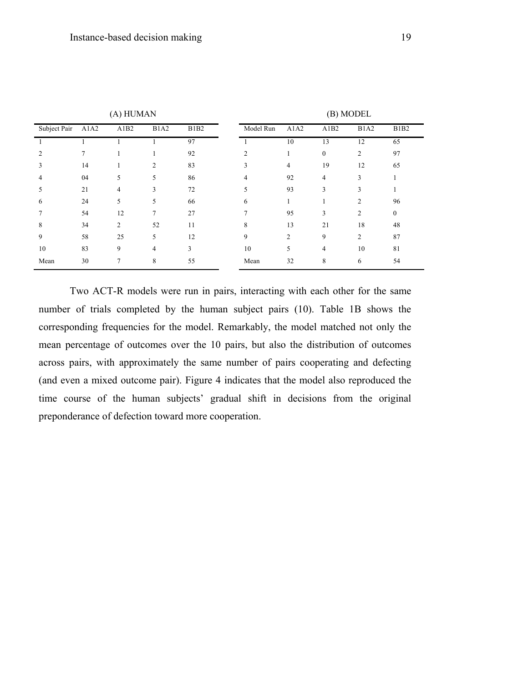| (A) HUMAN    |      |                |                               |                               | (B) MODEL      |      |          |                |             |
|--------------|------|----------------|-------------------------------|-------------------------------|----------------|------|----------|----------------|-------------|
| Subject Pair | A1A2 | A1B2           | B <sub>1</sub> A <sub>2</sub> | B <sub>1</sub> B <sub>2</sub> | Model Run      | A1A2 | A1B2     | <b>B1A2</b>    | <b>B1B2</b> |
|              |      |                |                               | 97                            |                | 10   | 13       | 12             | 65          |
|              |      |                |                               | 92                            | $\mathfrak{D}$ |      | $\theta$ | 2              | 97          |
| 3            | 14   |                | $\overline{2}$                | 83                            | 3              | 4    | 19       | 12             | 65          |
| 4            | 04   | 5              | 5                             | 86                            | 4              | 92   | 4        | 3              |             |
|              | 21   | 4              | 3                             | 72                            | 5              | 93   | 3        | 3              |             |
| 6            | 24   | 5              | 5                             | 66                            | 6              |      |          | $\overline{c}$ | 96          |
|              | 54   | 12             | 7                             | 27                            |                | 95   | 3        | 2              | $\theta$    |
| 8            | 34   | $\overline{2}$ | 52                            | 11                            | 8              | 13   | 21       | 18             | 48          |
| 9            | 58   | 25             | 5                             | 12                            | 9              | 2    | 9        | $\overline{c}$ | 87          |
| 10           | 83   | 9              | 4                             | 3                             | 10             | 5    | 4        | 10             | 81          |
| Mean         | 30   |                | 8                             | 55                            | Mean           | 32   | 8        | 6              | 54          |

Two ACT-R models were run in pairs, interacting with each other for the same number of trials completed by the human subject pairs (10). Table 1B shows the corresponding frequencies for the model. Remarkably, the model matched not only the mean percentage of outcomes over the 10 pairs, but also the distribution of outcomes across pairs, with approximately the same number of pairs cooperating and defecting (and even a mixed outcome pair). Figure 4 indicates that the model also reproduced the time course of the human subjects' gradual shift in decisions from the original preponderance of defection toward more cooperation.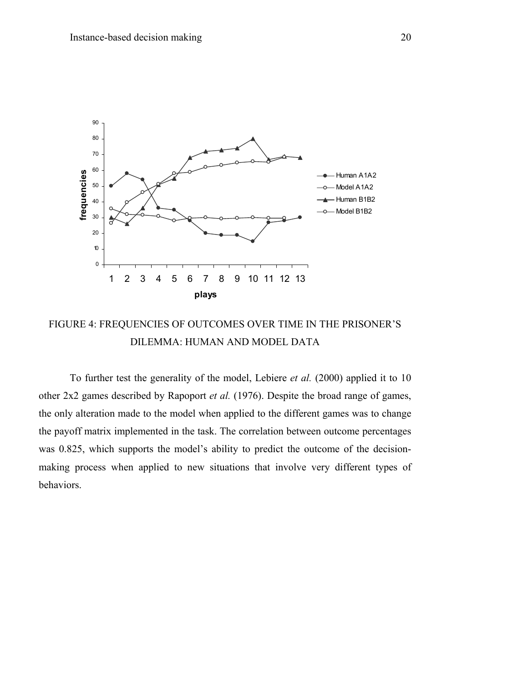

# FIGURE 4: FREQUENCIES OF OUTCOMES OVER TIME IN THE PRISONER'S DILEMMA: HUMAN AND MODEL DATA

To further test the generality of the model, Lebiere *et al.* (2000) applied it to 10 other 2x2 games described by Rapoport *et al.* (1976). Despite the broad range of games, the only alteration made to the model when applied to the different games was to change the payoff matrix implemented in the task. The correlation between outcome percentages was 0.825, which supports the model's ability to predict the outcome of the decisionmaking process when applied to new situations that involve very different types of behaviors.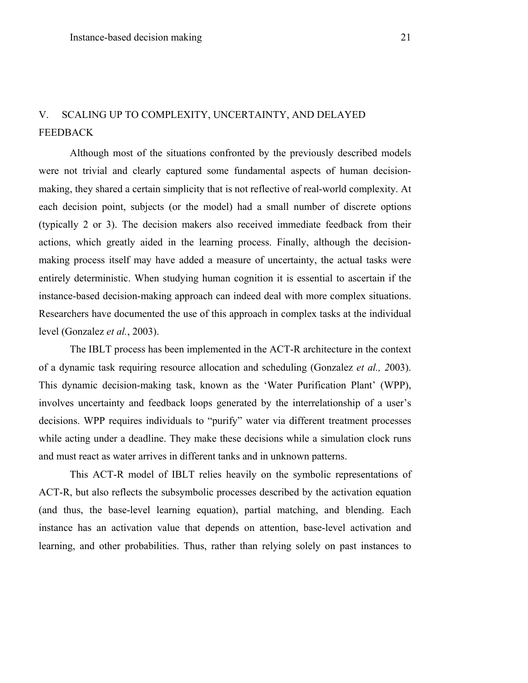# V. SCALING UP TO COMPLEXITY, UNCERTAINTY, AND DELAYED **FEEDBACK**

Although most of the situations confronted by the previously described models were not trivial and clearly captured some fundamental aspects of human decisionmaking, they shared a certain simplicity that is not reflective of real-world complexity. At each decision point, subjects (or the model) had a small number of discrete options (typically 2 or 3). The decision makers also received immediate feedback from their actions, which greatly aided in the learning process. Finally, although the decisionmaking process itself may have added a measure of uncertainty, the actual tasks were entirely deterministic. When studying human cognition it is essential to ascertain if the instance-based decision-making approach can indeed deal with more complex situations. Researchers have documented the use of this approach in complex tasks at the individual level (Gonzalez *et al.*, 2003).

The IBLT process has been implemented in the ACT-R architecture in the context of a dynamic task requiring resource allocation and scheduling (Gonzalez *et al., 2*003). This dynamic decision-making task, known as the 'Water Purification Plant' (WPP), involves uncertainty and feedback loops generated by the interrelationship of a user's decisions. WPP requires individuals to "purify" water via different treatment processes while acting under a deadline. They make these decisions while a simulation clock runs and must react as water arrives in different tanks and in unknown patterns.

This ACT-R model of IBLT relies heavily on the symbolic representations of ACT-R, but also reflects the subsymbolic processes described by the activation equation (and thus, the base-level learning equation), partial matching, and blending. Each instance has an activation value that depends on attention, base-level activation and learning, and other probabilities. Thus, rather than relying solely on past instances to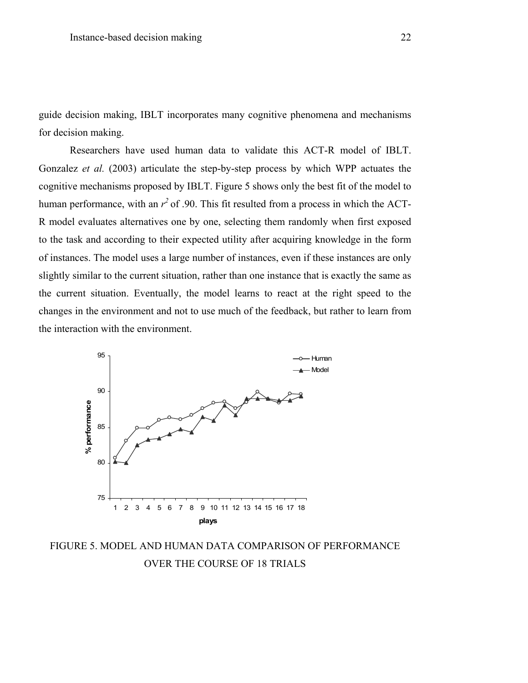guide decision making, IBLT incorporates many cognitive phenomena and mechanisms for decision making.

Researchers have used human data to validate this ACT-R model of IBLT. Gonzalez *et al.* (2003) articulate the step-by-step process by which WPP actuates the cognitive mechanisms proposed by IBLT. Figure 5 shows only the best fit of the model to human performance, with an  $r^2$  of .90. This fit resulted from a process in which the ACT-R model evaluates alternatives one by one, selecting them randomly when first exposed to the task and according to their expected utility after acquiring knowledge in the form of instances. The model uses a large number of instances, even if these instances are only slightly similar to the current situation, rather than one instance that is exactly the same as the current situation. Eventually, the model learns to react at the right speed to the changes in the environment and not to use much of the feedback, but rather to learn from the interaction with the environment.



FIGURE 5. MODEL AND HUMAN DATA COMPARISON OF PERFORMANCE OVER THE COURSE OF 18 TRIALS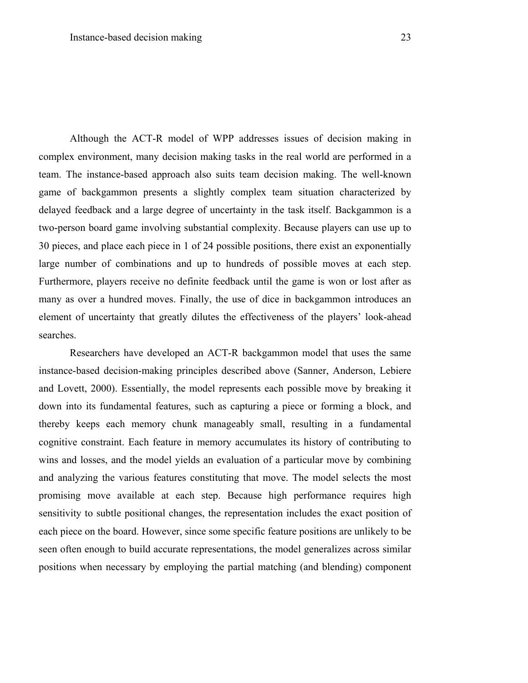Although the ACT-R model of WPP addresses issues of decision making in complex environment, many decision making tasks in the real world are performed in a team. The instance-based approach also suits team decision making. The well-known game of backgammon presents a slightly complex team situation characterized by delayed feedback and a large degree of uncertainty in the task itself. Backgammon is a two-person board game involving substantial complexity. Because players can use up to 30 pieces, and place each piece in 1 of 24 possible positions, there exist an exponentially large number of combinations and up to hundreds of possible moves at each step. Furthermore, players receive no definite feedback until the game is won or lost after as many as over a hundred moves. Finally, the use of dice in backgammon introduces an element of uncertainty that greatly dilutes the effectiveness of the players' look-ahead searches.

Researchers have developed an ACT-R backgammon model that uses the same instance-based decision-making principles described above (Sanner, Anderson, Lebiere and Lovett, 2000). Essentially, the model represents each possible move by breaking it down into its fundamental features, such as capturing a piece or forming a block, and thereby keeps each memory chunk manageably small, resulting in a fundamental cognitive constraint. Each feature in memory accumulates its history of contributing to wins and losses, and the model yields an evaluation of a particular move by combining and analyzing the various features constituting that move. The model selects the most promising move available at each step. Because high performance requires high sensitivity to subtle positional changes, the representation includes the exact position of each piece on the board. However, since some specific feature positions are unlikely to be seen often enough to build accurate representations, the model generalizes across similar positions when necessary by employing the partial matching (and blending) component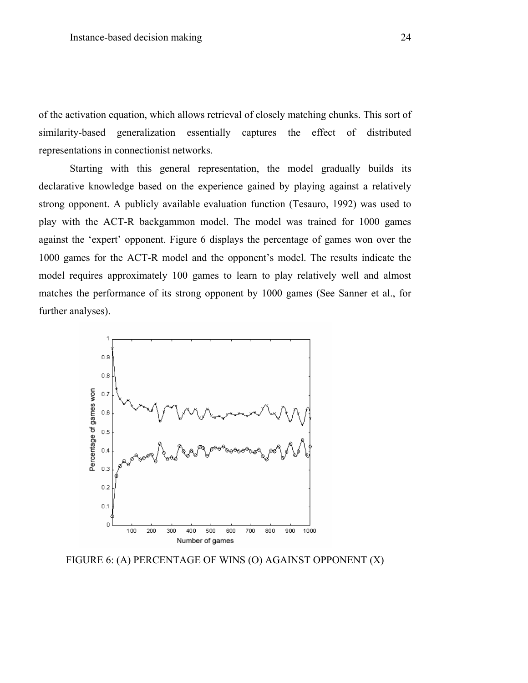of the activation equation, which allows retrieval of closely matching chunks. This sort of similarity-based generalization essentially captures the effect of distributed representations in connectionist networks.

Starting with this general representation, the model gradually builds its declarative knowledge based on the experience gained by playing against a relatively strong opponent. A publicly available evaluation function (Tesauro, 1992) was used to play with the ACT-R backgammon model. The model was trained for 1000 games against the 'expert' opponent. Figure 6 displays the percentage of games won over the 1000 games for the ACT-R model and the opponent's model. The results indicate the model requires approximately 100 games to learn to play relatively well and almost matches the performance of its strong opponent by 1000 games (See Sanner et al., for further analyses).



FIGURE 6: (A) PERCENTAGE OF WINS (O) AGAINST OPPONENT (X)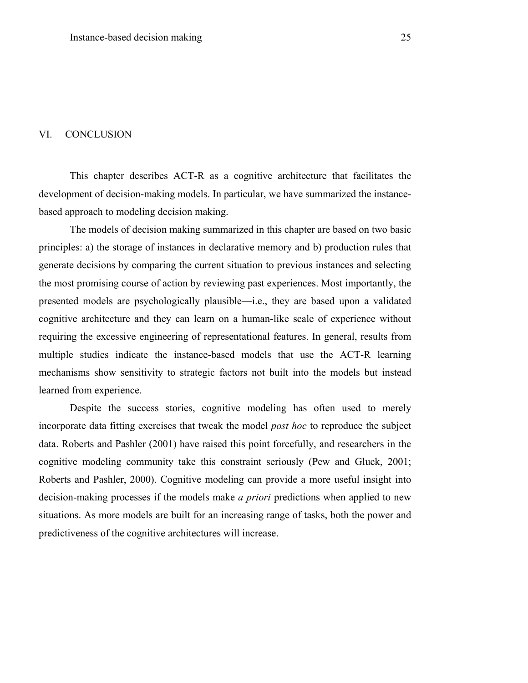### VI. CONCLUSION

This chapter describes ACT-R as a cognitive architecture that facilitates the development of decision-making models. In particular, we have summarized the instancebased approach to modeling decision making.

The models of decision making summarized in this chapter are based on two basic principles: a) the storage of instances in declarative memory and b) production rules that generate decisions by comparing the current situation to previous instances and selecting the most promising course of action by reviewing past experiences. Most importantly, the presented models are psychologically plausible—i.e., they are based upon a validated cognitive architecture and they can learn on a human-like scale of experience without requiring the excessive engineering of representational features. In general, results from multiple studies indicate the instance-based models that use the ACT-R learning mechanisms show sensitivity to strategic factors not built into the models but instead learned from experience.

Despite the success stories, cognitive modeling has often used to merely incorporate data fitting exercises that tweak the model *post hoc* to reproduce the subject data. Roberts and Pashler (2001) have raised this point forcefully, and researchers in the cognitive modeling community take this constraint seriously (Pew and Gluck, 2001; Roberts and Pashler, 2000). Cognitive modeling can provide a more useful insight into decision-making processes if the models make *a priori* predictions when applied to new situations. As more models are built for an increasing range of tasks, both the power and predictiveness of the cognitive architectures will increase.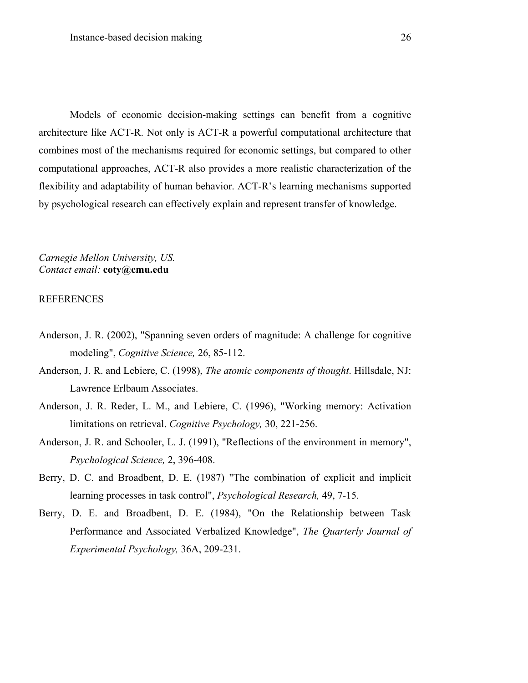Models of economic decision-making settings can benefit from a cognitive architecture like ACT-R. Not only is ACT-R a powerful computational architecture that combines most of the mechanisms required for economic settings, but compared to other computational approaches, ACT-R also provides a more realistic characterization of the flexibility and adaptability of human behavior. ACT-R's learning mechanisms supported by psychological research can effectively explain and represent transfer of knowledge.

*Carnegie Mellon University, US. Contact email:* **coty@cmu.edu** 

#### REFERENCES

- Anderson, J. R. (2002), "Spanning seven orders of magnitude: A challenge for cognitive modeling", *Cognitive Science,* 26, 85-112.
- Anderson, J. R. and Lebiere, C. (1998), *The atomic components of thought*. Hillsdale, NJ: Lawrence Erlbaum Associates.
- Anderson, J. R. Reder, L. M., and Lebiere, C. (1996), "Working memory: Activation limitations on retrieval. *Cognitive Psychology,* 30, 221-256.
- Anderson, J. R. and Schooler, L. J. (1991), "Reflections of the environment in memory", *Psychological Science,* 2, 396-408.
- Berry, D. C. and Broadbent, D. E. (1987) "The combination of explicit and implicit learning processes in task control", *Psychological Research,* 49, 7-15.
- Berry, D. E. and Broadbent, D. E. (1984), "On the Relationship between Task Performance and Associated Verbalized Knowledge", *The Quarterly Journal of Experimental Psychology,* 36A, 209-231.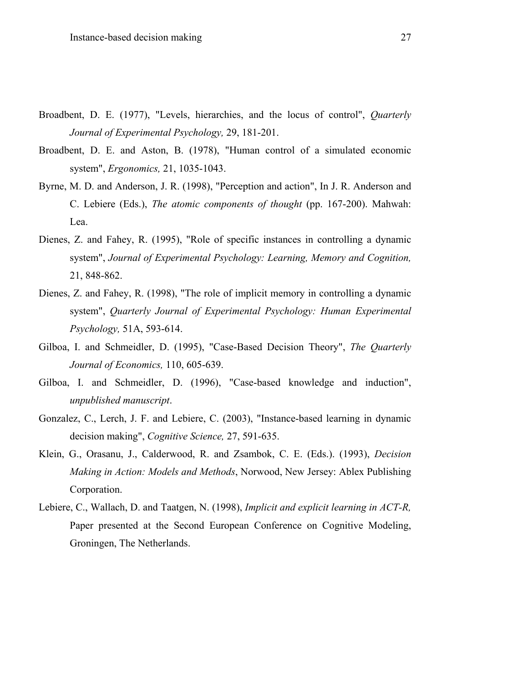- Broadbent, D. E. (1977), "Levels, hierarchies, and the locus of control", *Quarterly Journal of Experimental Psychology,* 29, 181-201.
- Broadbent, D. E. and Aston, B. (1978), "Human control of a simulated economic system", *Ergonomics,* 21, 1035-1043.
- Byrne, M. D. and Anderson, J. R. (1998), "Perception and action", In J. R. Anderson and C. Lebiere (Eds.), *The atomic components of thought* (pp. 167-200). Mahwah: Lea.
- Dienes, Z. and Fahey, R. (1995), "Role of specific instances in controlling a dynamic system", *Journal of Experimental Psychology: Learning, Memory and Cognition,*  21, 848-862.
- Dienes, Z. and Fahey, R. (1998), "The role of implicit memory in controlling a dynamic system", *Quarterly Journal of Experimental Psychology: Human Experimental Psychology,* 51A, 593-614.
- Gilboa, I. and Schmeidler, D. (1995), "Case-Based Decision Theory", *The Quarterly Journal of Economics,* 110, 605-639.
- Gilboa, I. and Schmeidler, D. (1996), "Case-based knowledge and induction", *unpublished manuscript*.
- Gonzalez, C., Lerch, J. F. and Lebiere, C. (2003), "Instance-based learning in dynamic decision making", *Cognitive Science,* 27, 591-635.
- Klein, G., Orasanu, J., Calderwood, R. and Zsambok, C. E. (Eds.). (1993), *Decision Making in Action: Models and Methods*, Norwood, New Jersey: Ablex Publishing Corporation.
- Lebiere, C., Wallach, D. and Taatgen, N. (1998), *Implicit and explicit learning in ACT-R,* Paper presented at the Second European Conference on Cognitive Modeling, Groningen, The Netherlands.